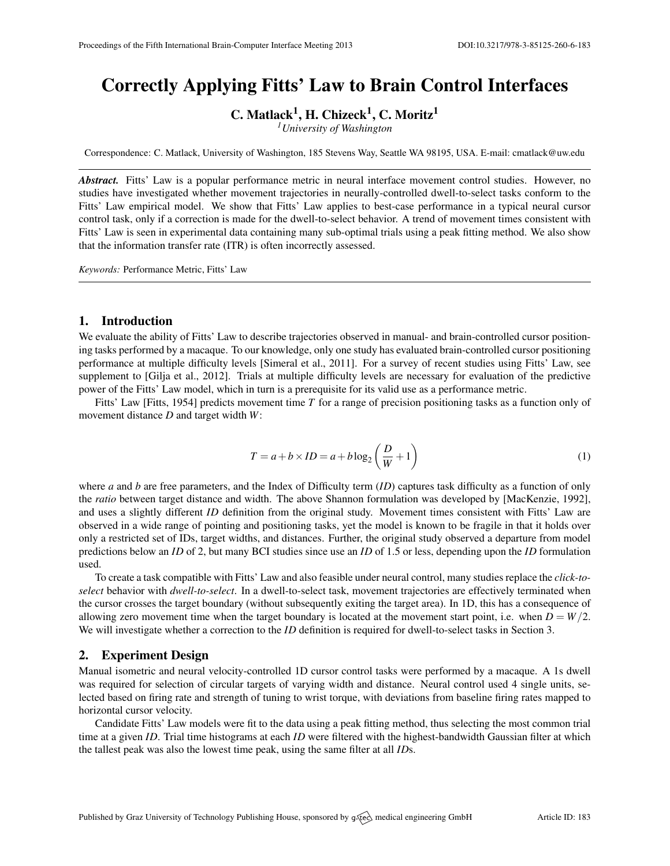# Correctly Applying Fitts' Law to Brain Control Interfaces

C. Matlack<sup>1</sup>, H. Chizeck<sup>1</sup>, C. Moritz<sup>1</sup>

*<sup>1</sup>University of Washington*

Correspondence: C. Matlack, University of Washington, 185 Stevens Way, Seattle WA 98195, USA. E-mail: [cmatlack@uw.edu](mailto:cmatlack@uw.edu)

*Abstract.* Fitts' Law is a popular performance metric in neural interface movement control studies. However, no studies have investigated whether movement trajectories in neurally-controlled dwell-to-select tasks conform to the Fitts' Law empirical model. We show that Fitts' Law applies to best-case performance in a typical neural cursor control task, only if a correction is made for the dwell-to-select behavior. A trend of movement times consistent with Fitts' Law is seen in experimental data containing many sub-optimal trials using a peak fitting method. We also show that the information transfer rate (ITR) is often incorrectly assessed.

*Keywords:* Performance Metric, Fitts' Law

#### 1. Introduction

We evaluate the ability of Fitts' Law to describe trajectories observed in manual- and brain-controlled cursor positioning tasks performed by a macaque. To our knowledge, only one study has evaluated brain-controlled cursor positioning performance at multiple difficulty levels [\[Simeral et al.,](#page-1-0) [2011\]](#page-1-0). For a survey of recent studies using Fitts' Law, see supplement to [\[Gilja et al.,](#page-1-1) [2012\]](#page-1-1). Trials at multiple difficulty levels are necessary for evaluation of the predictive power of the Fitts' Law model, which in turn is a prerequisite for its valid use as a performance metric.

Fitts' Law [\[Fitts,](#page-1-2) [1954\]](#page-1-2) predicts movement time *T* for a range of precision positioning tasks as a function only of movement distance *D* and target width *W*:

$$
T = a + b \times ID = a + b \log_2\left(\frac{D}{W} + 1\right)
$$
 (1)

where *a* and *b* are free parameters, and the Index of Difficulty term (*ID*) captures task difficulty as a function of only the *ratio* between target distance and width. The above Shannon formulation was developed by [\[MacKenzie,](#page-1-3) [1992\]](#page-1-3), and uses a slightly different *ID* definition from the original study. Movement times consistent with Fitts' Law are observed in a wide range of pointing and positioning tasks, yet the model is known to be fragile in that it holds over only a restricted set of IDs, target widths, and distances. Further, the original study observed a departure from model predictions below an *ID* of 2, but many BCI studies since use an *ID* of 1.5 or less, depending upon the *ID* formulation used.

To create a task compatible with Fitts' Law and also feasible under neural control, many studies replace the *click-toselect* behavior with *dwell-to-select*. In a dwell-to-select task, movement trajectories are effectively terminated when the cursor crosses the target boundary (without subsequently exiting the target area). In 1D, this has a consequence of allowing zero movement time when the target boundary is located at the movement start point, i.e. when  $D = W/2$ . We will investigate whether a correction to the *ID* definition is required for dwell-to-select tasks in Section [3.](#page-0-0)

## 2. Experiment Design

Manual isometric and neural velocity-controlled 1D cursor control tasks were performed by a macaque. A 1s dwell was required for selection of circular targets of varying width and distance. Neural control used 4 single units, selected based on firing rate and strength of tuning to wrist torque, with deviations from baseline firing rates mapped to horizontal cursor velocity.

<span id="page-0-0"></span>Candidate Fitts' Law models were fit to the data using a peak fitting method, thus selecting the most common trial time at a given *ID*. Trial time histograms at each *ID* were filtered with the highest-bandwidth Gaussian filter at which the tallest peak was also the lowest time peak, using the same filter at all *ID*s.